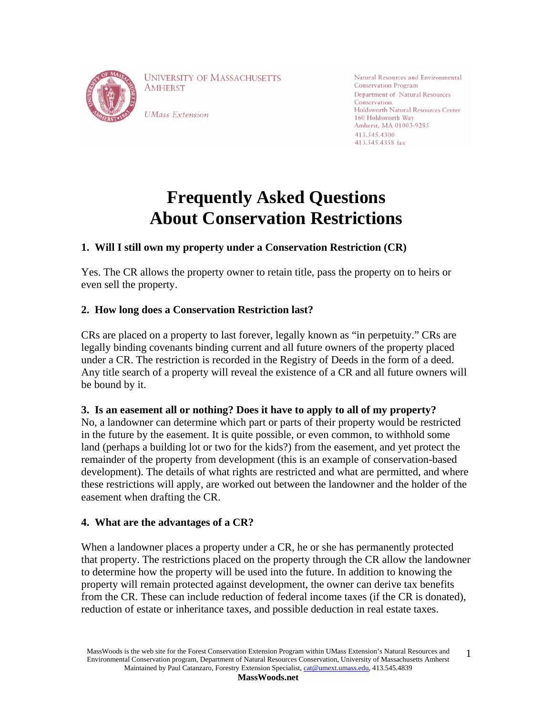

**UNIVERSITY OF MASSACHUSETTS AMHERST** 

**UMass Extension** 

Natural Resources and Environmental **Conservation Program** Department of Natural Resources Conservation Holdsworth Natural Resources Center 160 Holdsworth Way Amherst, MA 01003-9285 413.545.4300 413.545.4358 fax

# **Frequently Asked Questions About Conservation Restrictions**

# **1. Will I still own my property under a Conservation Restriction (CR)**

Yes. The CR allows the property owner to retain title, pass the property on to heirs or even sell the property.

# **2. How long does a Conservation Restriction last?**

CRs are placed on a property to last forever, legally known as "in perpetuity." CRs are legally binding covenants binding current and all future owners of the property placed under a CR. The restriction is recorded in the Registry of Deeds in the form of a deed. Any title search of a property will reveal the existence of a CR and all future owners will be bound by it.

## **3. Is an easement all or nothing? Does it have to apply to all of my property?**

No, a landowner can determine which part or parts of their property would be restricted in the future by the easement. It is quite possible, or even common, to withhold some land (perhaps a building lot or two for the kids?) from the easement, and yet protect the remainder of the property from development (this is an example of conservation-based development). The details of what rights are restricted and what are permitted, and where these restrictions will apply, are worked out between the landowner and the holder of the easement when drafting the CR.

#### **4. What are the advantages of a CR?**

When a landowner places a property under a CR, he or she has permanently protected that property. The restrictions placed on the property through the CR allow the landowner to determine how the property will be used into the future. In addition to knowing the property will remain protected against development, the owner can derive tax benefits from the CR. These can include reduction of federal income taxes (if the CR is donated), reduction of estate or inheritance taxes, and possible deduction in real estate taxes.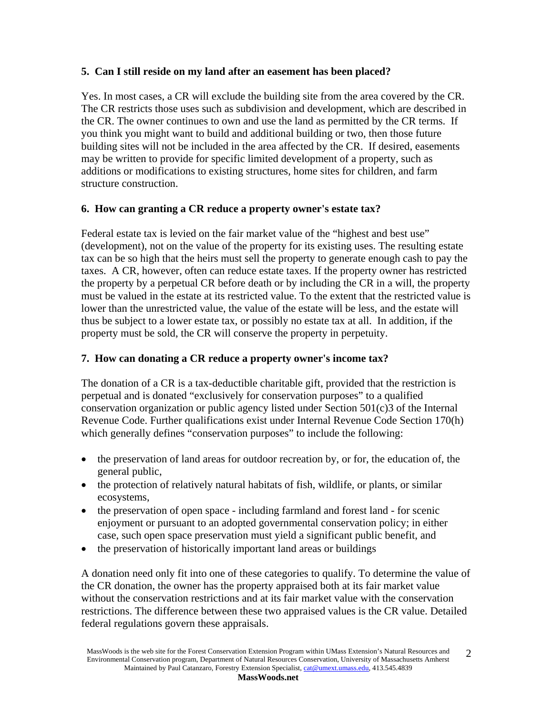#### **5. Can I still reside on my land after an easement has been placed?**

Yes. In most cases, a CR will exclude the building site from the area covered by the CR. The CR restricts those uses such as subdivision and development, which are described in the CR. The owner continues to own and use the land as permitted by the CR terms. If you think you might want to build and additional building or two, then those future building sites will not be included in the area affected by the CR. If desired, easements may be written to provide for specific limited development of a property, such as additions or modifications to existing structures, home sites for children, and farm structure construction.

#### **6. How can granting a CR reduce a property owner's estate tax?**

Federal estate tax is levied on the fair market value of the "highest and best use" (development), not on the value of the property for its existing uses. The resulting estate tax can be so high that the heirs must sell the property to generate enough cash to pay the taxes. A CR, however, often can reduce estate taxes. If the property owner has restricted the property by a perpetual CR before death or by including the CR in a will, the property must be valued in the estate at its restricted value. To the extent that the restricted value is lower than the unrestricted value, the value of the estate will be less, and the estate will thus be subject to a lower estate tax, or possibly no estate tax at all. In addition, if the property must be sold, the CR will conserve the property in perpetuity.

#### **7. How can donating a CR reduce a property owner's income tax?**

The donation of a CR is a tax-deductible charitable gift, provided that the restriction is perpetual and is donated "exclusively for conservation purposes" to a qualified conservation organization or public agency listed under Section 501(c)3 of the Internal Revenue Code. Further qualifications exist under Internal Revenue Code Section 170(h) which generally defines "conservation purposes" to include the following:

- the preservation of land areas for outdoor recreation by, or for, the education of, the general public,
- the protection of relatively natural habitats of fish, wildlife, or plants, or similar ecosystems,
- the preservation of open space including farmland and forest land for scenic enjoyment or pursuant to an adopted governmental conservation policy; in either case, such open space preservation must yield a significant public benefit, and
- the preservation of historically important land areas or buildings

A donation need only fit into one of these categories to qualify. To determine the value of the CR donation, the owner has the property appraised both at its fair market value without the conservation restrictions and at its fair market value with the conservation restrictions. The difference between these two appraised values is the CR value. Detailed federal regulations govern these appraisals.